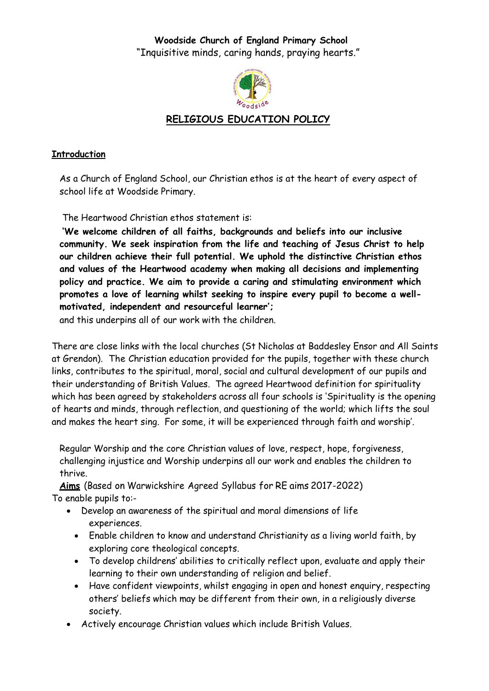**Woodside Church of England Primary School** "Inquisitive minds, caring hands, praying hearts."



### **RELIGIOUS EDUCATION POLICY**

#### **Introduction**

As a Church of England School, our Christian ethos is at the heart of every aspect of school life at Woodside Primary.

The Heartwood Christian ethos statement is:

**'We welcome children of all faiths, backgrounds and beliefs into our inclusive community. We seek inspiration from the life and teaching of Jesus Christ to help our children achieve their full potential. We uphold the distinctive Christian ethos and values of the Heartwood academy when making all decisions and implementing policy and practice. We aim to provide a caring and stimulating environment which promotes a love of learning whilst seeking to inspire every pupil to become a wellmotivated, independent and resourceful learner';**

and this underpins all of our work with the children.

There are close links with the local churches (St Nicholas at Baddesley Ensor and All Saints at Grendon). The Christian education provided for the pupils, together with these church links, contributes to the spiritual, moral, social and cultural development of our pupils and their understanding of British Values. The agreed Heartwood definition for spirituality which has been agreed by stakeholders across all four schools is 'Spirituality is the opening of hearts and minds, through reflection, and questioning of the world; which lifts the soul and makes the heart sing. For some, it will be experienced through faith and worship'.

Regular Worship and the core Christian values of love, respect, hope, forgiveness, challenging injustice and Worship underpins all our work and enables the children to thrive.

**Aims** (Based on Warwickshire Agreed Syllabus for RE aims 2017-2022) To enable pupils to:-

- Develop an awareness of the spiritual and moral dimensions of life experiences.
	- Enable children to know and understand Christianity as a living world faith, by exploring core theological concepts.
	- To develop childrens' abilities to critically reflect upon, evaluate and apply their learning to their own understanding of religion and belief.
	- Have confident viewpoints, whilst engaging in open and honest enquiry, respecting others' beliefs which may be different from their own, in a religiously diverse society.
- Actively encourage Christian values which include British Values.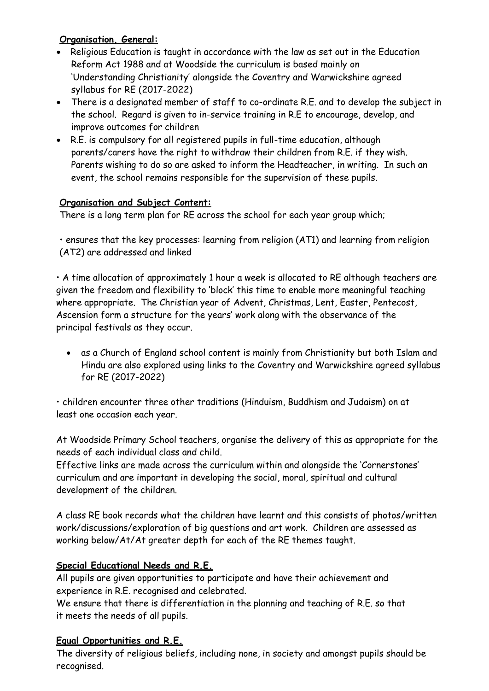### **Organisation, General:**

- Religious Education is taught in accordance with the law as set out in the Education Reform Act 1988 and at Woodside the curriculum is based mainly on 'Understanding Christianity' alongside the Coventry and Warwickshire agreed syllabus for RE (2017-2022)
- There is a designated member of staff to co-ordinate R.E. and to develop the subject in the school. Regard is given to in-service training in R.E to encourage, develop, and improve outcomes for children
- R.E. is compulsory for all registered pupils in full-time education, although parents/carers have the right to withdraw their children from R.E. if they wish. Parents wishing to do so are asked to inform the Headteacher, in writing. In such an event, the school remains responsible for the supervision of these pupils.

### **Organisation and Subject Content:**

There is a long term plan for RE across the school for each year group which;

• ensures that the key processes: learning from religion (AT1) and learning from religion (AT2) are addressed and linked

• A time allocation of approximately 1 hour a week is allocated to RE although teachers are given the freedom and flexibility to 'block' this time to enable more meaningful teaching where appropriate. The Christian year of Advent, Christmas, Lent, Easter, Pentecost, Ascension form a structure for the years' work along with the observance of the principal festivals as they occur.

 as a Church of England school content is mainly from Christianity but both Islam and Hindu are also explored using links to the Coventry and Warwickshire agreed syllabus for RE (2017-2022)

• children encounter three other traditions (Hinduism, Buddhism and Judaism) on at least one occasion each year.

At Woodside Primary School teachers, organise the delivery of this as appropriate for the needs of each individual class and child.

Effective links are made across the curriculum within and alongside the 'Cornerstones' curriculum and are important in developing the social, moral, spiritual and cultural development of the children.

A class RE book records what the children have learnt and this consists of photos/written work/discussions/exploration of big questions and art work. Children are assessed as working below/At/At greater depth for each of the RE themes taught.

# **Special Educational Needs and R.E.**

All pupils are given opportunities to participate and have their achievement and experience in R.E. recognised and celebrated.

We ensure that there is differentiation in the planning and teaching of R.E. so that it meets the needs of all pupils.

# **Equal Opportunities and R.E.**

The diversity of religious beliefs, including none, in society and amongst pupils should be recognised.